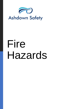

# Fire Hazards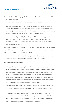

## **Fire Hazards**

**Fire is a significant risk to any organisation. In order to have a fire you must have all three of the following conditions:**

- Oxygen: a natural sources as well as artificial, oxidising materials or oxygen.
- Fuel: flammable liquid (e.g. white spirit, paints, varnish,) flammable substances (eg cleaning, photocopier chemicals), adhesives, solvents, cooking oils, packaging, paper, card, paper (particularly if shredded) or combustible parts of buildings such as insulating sandwich panels with combustible insulation or combustible cladding.
- Heat: (or sources of ignition): lights, smoking, naked flames, electrical, gas or oil fired heaters, hot works, faulty electrical equipment, hot surfaces, obstruction/lack of ventilation of electrical equipment, self heating and spontaneous combustion from materials such as oily rags, arson.

Without all three of these elements there can be no fire. Fire extinguishers take away one or more of these three elements, e.g water extinguishers take away the heat, carbon dioxide extinguishers use gas, which displaces the oxygen.

• Ensure that there is a clear written fire policy, including allocated responsibilities and appropriate employee training in fire prevention and the fire procedures.

### **Recommendations for employers:**

- **Reduce or eliminate sources of ignition**. Reduce any unnecessary sources of heat, ensure that sources of heat do not arise from faulty or overloaded electrical equipment, control hot works, have correct storage and disposal for oily rags, prohibit smoking, reduce naked flame heat-ing by replacing with electrical heaters or central heating, ensure all equipment that could provide a source of ignition is left in a safe condition and electrical fuses and circuit breakers are of the correct rating, electrical installations are maintained and take precautions against the risk of arson.
- **Reduce the sources of oxygen**. Close doors and other sources of ventilation when not required, do not store oxidising materials near any heat source or flammable materials.
- **Minimise the potential of fuel for the fire**. Remove or reduce to a minimum the amount of flammable materials and substances. Replace flammable materials with non or less flammable materials, ensure flammable materials are handled, transported, stored and used properly, do not keep unnecessary quantities.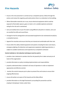## **Fire Hazards**



- Ensure a fire risk assessment is carried out by a competent person, follow through the actions and review this regularly, particularly where there is an alteration to the building.
- Where flammable materials are in use, ensure electrical equipment which could be exposed to flammable vapours, gases or dusts is of a suitable explosion protected rating for the risk and is maintained.
- Carry out weekly tests on your fire alarm using different call points in rotation, carry out six monthly fire drills and record them.
- Arrange for the fire extinguishers and associated equipment to be maintained annually by a competent person.
- Appoint fire marshals and ensure that they are trained and comfortable with their role.
- Ensure other fire safety related equipment and systems including fire doors and closers, emergency lighting, fire detection and suppression equipment, lightning protection, is subject to suitable maintenance and inspection by a competent contractor

### **Control methods or risk reduction techniques must be used to:**

- provide a clear statement to workers that the risk posed by fire is taken seriously at all levels of the organisation
- provide information on policy including implementation and responsibilities
- properly understand what is involved in all areas of operation in order to implement appropriate and effective controls
- monitor the control measures put in place to prevent fires and review to ensure their ongoing effectiveness
- ensure all workers are aware of the hazards and the likely effects
- provide information on the legal framework surrounding fire prevention and the employer's/employees' duties under them.